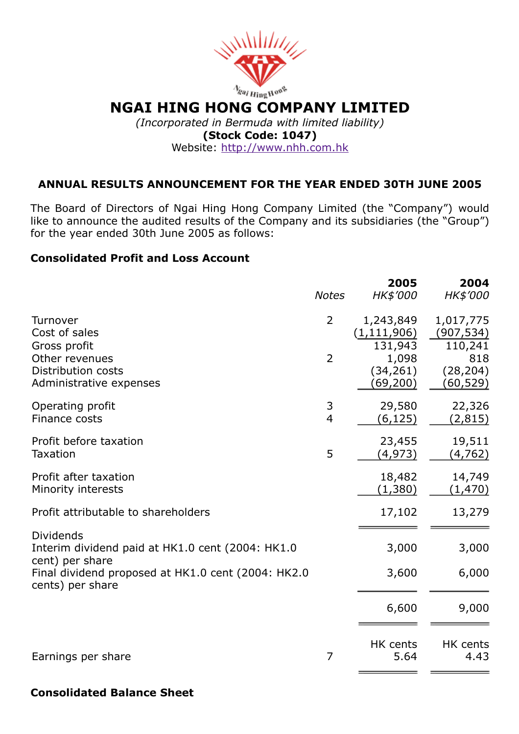

#### Website: [http://www.nhh.com.hk](http://www.nhh.com.hk/)

## ANNUAL RESULTS ANNOUNCEMENT FOR THE YEAR ENDED 30TH JUNE 2005

The Board of Directors of Ngai Hing Hong Company Limited (the "Company") would like to announce the audited results of the Company and its subsidiaries (the "Group") for the year ended 30th June 2005 as follows:

### Consolidated Profit and Loss Account

|                                                                                         | <b>Notes</b>   | 2005<br>HK\$'000                      | 2004<br>HK\$'000                   |
|-----------------------------------------------------------------------------------------|----------------|---------------------------------------|------------------------------------|
| Turnover<br>Cost of sales<br>Gross profit                                               | $\overline{2}$ | 1,243,849<br>(1, 111, 906)<br>131,943 | 1,017,775<br>(907, 534)<br>110,241 |
| Other revenues<br>Distribution costs<br>Administrative expenses                         | $\overline{2}$ | 1,098<br>(34, 261)<br>(69, 200)       | 818<br>(28, 204)<br>(60,529)       |
| Operating profit<br>Finance costs                                                       | 3<br>4         | 29,580<br>(6,125)                     | 22,326<br>(2,815)                  |
| Profit before taxation<br><b>Taxation</b>                                               | 5              | 23,455<br>(4,973)                     | 19,511<br>(4, 762)                 |
| Profit after taxation<br>Minority interests                                             |                | 18,482<br>(1,380)                     | 14,749<br>(1,470)                  |
| Profit attributable to shareholders                                                     |                | 17,102                                | 13,279                             |
| <b>Dividends</b><br>Interim dividend paid at HK1.0 cent (2004: HK1.0<br>cent) per share |                | 3,000                                 | 3,000                              |
| Final dividend proposed at HK1.0 cent (2004: HK2.0<br>cents) per share                  |                | 3,600                                 | 6,000                              |
|                                                                                         |                | 6,600                                 | 9,000                              |
| Earnings per share                                                                      | 7              | HK cents<br>5.64                      | HK cents<br>4.43                   |

### Consolidated Balance Sheet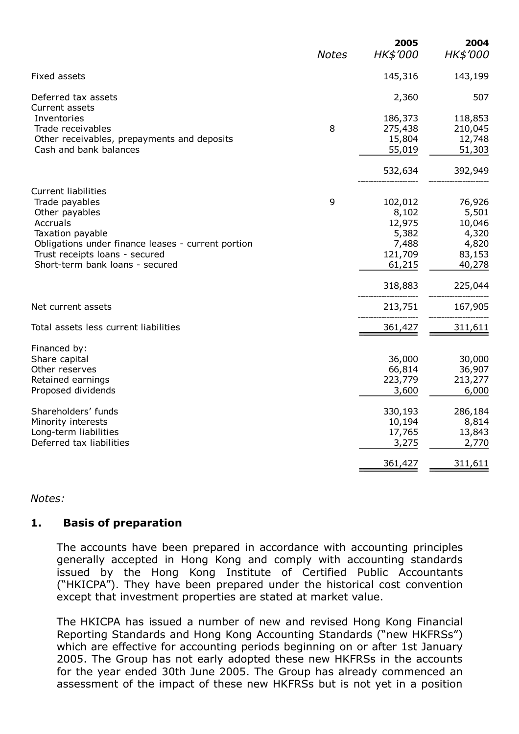|                                                                                                                                                                                                                                                 | <b>Notes</b> | 2005<br>HK\$'000                                                                        | 2004<br>HK\$'000                                                                      |
|-------------------------------------------------------------------------------------------------------------------------------------------------------------------------------------------------------------------------------------------------|--------------|-----------------------------------------------------------------------------------------|---------------------------------------------------------------------------------------|
| Fixed assets                                                                                                                                                                                                                                    |              | 145,316                                                                                 | 143,199                                                                               |
| Deferred tax assets<br>Current assets                                                                                                                                                                                                           |              | 2,360                                                                                   | 507                                                                                   |
| Inventories<br>Trade receivables<br>Other receivables, prepayments and deposits<br>Cash and bank balances                                                                                                                                       | 8            | 186,373<br>275,438<br>15,804<br>55,019                                                  | 118,853<br>210,045<br>12,748<br>51,303                                                |
|                                                                                                                                                                                                                                                 |              | 532,634                                                                                 | 392,949                                                                               |
| <b>Current liabilities</b><br>Trade payables<br>Other payables<br>Accruals<br>Taxation payable<br>Obligations under finance leases - current portion<br>Trust receipts loans - secured<br>Short-term bank loans - secured<br>Net current assets | 9            | 102,012<br>8,102<br>12,975<br>5,382<br>7,488<br>121,709<br>61,215<br>318,883<br>213,751 | 76,926<br>5,501<br>10,046<br>4,320<br>4,820<br>83,153<br>40,278<br>225,044<br>167,905 |
| Total assets less current liabilities                                                                                                                                                                                                           |              | 361,427                                                                                 | 311,611                                                                               |
| Financed by:<br>Share capital<br>Other reserves<br>Retained earnings<br>Proposed dividends                                                                                                                                                      |              | 36,000<br>66,814<br>223,779<br>3,600                                                    | 30,000<br>36,907<br>213,277<br>6,000                                                  |
| Shareholders' funds<br>Minority interests<br>Long-term liabilities<br>Deferred tax liabilities                                                                                                                                                  |              | 330,193<br>10,194<br>17,765<br>3,275                                                    | 286,184<br>8,814<br>13,843<br>2,770                                                   |
|                                                                                                                                                                                                                                                 |              | 361,427                                                                                 | 311,611                                                                               |

### Notes:

### 1. Basis of preparation

The accounts have been prepared in accordance with accounting principles generally accepted in Hong Kong and comply with accounting standards issued by the Hong Kong Institute of Certified Public Accountants ("HKICPA"). They have been prepared under the historical cost convention except that investment properties are stated at market value.

The HKICPA has issued a number of new and revised Hong Kong Financial Reporting Standards and Hong Kong Accounting Standards ("new HKFRSs") which are effective for accounting periods beginning on or after 1st January 2005. The Group has not early adopted these new HKFRSs in the accounts for the year ended 30th June 2005. The Group has already commenced an assessment of the impact of these new HKFRSs but is not yet in a position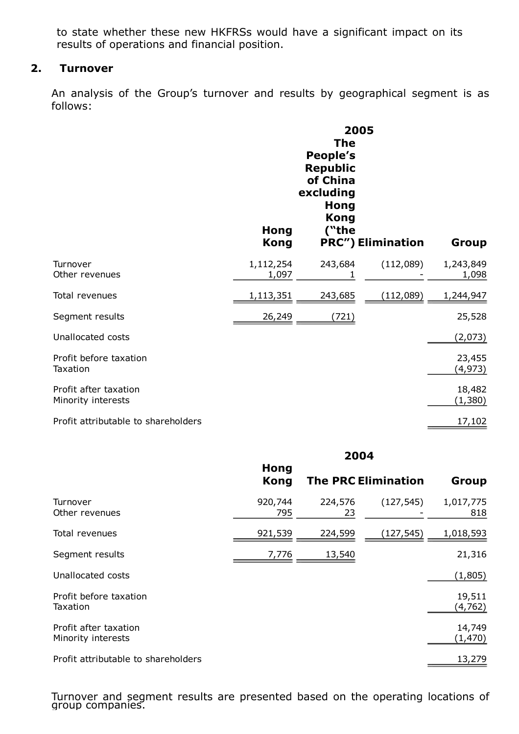to state whether these new HKFRSs would have a significant impact on its results of operations and financial position.

## 2. Turnover

An analysis of the Group's turnover and results by geographical segment is as follows:

|                                             | <b>Hong</b><br><b>Kong</b> | <b>The</b><br>People's<br><b>Republic</b><br>of China<br>excluding<br><b>Hong</b><br><b>Kong</b><br>("the | 2005<br><b>PRC") Elimination</b> | Group              |
|---------------------------------------------|----------------------------|-----------------------------------------------------------------------------------------------------------|----------------------------------|--------------------|
| Turnover<br>Other revenues                  | 1,112,254<br>1,097         | 243,684                                                                                                   | (112,089)                        | 1,243,849<br>1,098 |
| Total revenues                              | 1,113,351                  | 243,685                                                                                                   | (112,089)                        | 1,244,947          |
| Segment results                             | 26,249                     | (721)                                                                                                     |                                  | 25,528             |
| Unallocated costs                           |                            |                                                                                                           |                                  | (2,073)            |
| Profit before taxation<br>Taxation          |                            |                                                                                                           |                                  | 23,455<br>(4,973)  |
| Profit after taxation<br>Minority interests |                            |                                                                                                           |                                  | 18,482<br>(1,380)  |
| Profit attributable to shareholders         |                            |                                                                                                           |                                  | 17,102             |

#### 2004

|                                             | Hong<br><b>Kong</b> |               | <b>The PRC Elimination</b> | Group              |
|---------------------------------------------|---------------------|---------------|----------------------------|--------------------|
| Turnover<br>Other revenues                  | 920,744<br>795      | 224,576<br>23 | (127, 545)                 | 1,017,775<br>818   |
| Total revenues                              | 921,539             | 224,599       | (127,545)                  | 1,018,593          |
| Segment results                             | 7,776               | 13,540        |                            | 21,316             |
| Unallocated costs                           |                     |               |                            | (1,805)            |
| Profit before taxation<br>Taxation          |                     |               |                            | 19,511<br>(4, 762) |
| Profit after taxation<br>Minority interests |                     |               |                            | 14,749<br>(1, 470) |
| Profit attributable to shareholders         |                     |               |                            | 13,279             |

Turnover and segment results are presented based on the operating locations of group companies.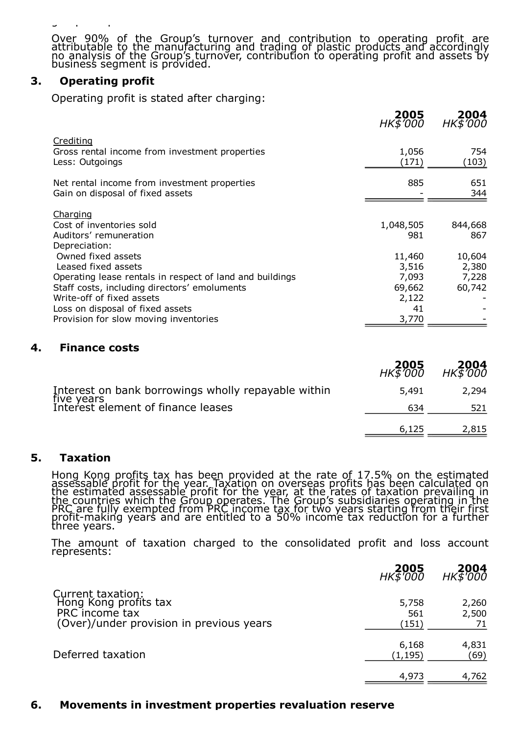group companies.

Over 90% of the Group's turnover and contribution to operating profit are attributable to the manufacturing and trading of plastic products and accordingly no analysis of the Group's turnover, contribution to operating profit and assets by business segment is provided.

### 3. Operating profit

Operating profit is stated after charging:

|                                                                                                                                                                                                                                                                                                           | <b>2005</b><br>HK\$'000                                               | <b>2004</b><br>HK\$'000                              |
|-----------------------------------------------------------------------------------------------------------------------------------------------------------------------------------------------------------------------------------------------------------------------------------------------------------|-----------------------------------------------------------------------|------------------------------------------------------|
| Crediting<br>Gross rental income from investment properties<br>Less: Outgoings                                                                                                                                                                                                                            | 1,056<br>(171)                                                        | 754<br>(103)                                         |
| Net rental income from investment properties<br>Gain on disposal of fixed assets                                                                                                                                                                                                                          | 885                                                                   | 651<br>344                                           |
| Charging<br>Cost of inventories sold<br>Auditors' remuneration<br>Depreciation:<br>Owned fixed assets<br>Leased fixed assets<br>Operating lease rentals in respect of land and buildings<br>Staff costs, including directors' emoluments<br>Write-off of fixed assets<br>Loss on disposal of fixed assets | 1,048,505<br>981<br>11,460<br>3,516<br>7,093<br>69,662<br>2,122<br>41 | 844,668<br>867<br>10,604<br>2,380<br>7,228<br>60,742 |
| Provision for slow moving inventories                                                                                                                                                                                                                                                                     | 3,770                                                                 |                                                      |

### 4. Finance costs

|                                                     | <b>2005</b><br>HK\$'000 | <b>2004</b><br>HK\$'000 |
|-----------------------------------------------------|-------------------------|-------------------------|
| Interest on bank borrowings wholly repayable within | 5,491                   | 2.294                   |
| five years<br>Interest element of finance leases    | 634                     | 521                     |
|                                                     | 6,125                   | 2,815                   |

### 5. Taxation

Hong Kong profits tax has been provided at the rate of 17.5% on the estimated assessable profit for the year. Taxation on overseas profits has been calculated on the estimated assessable profit for the year, at the rates of taxation prevailing in the countries which the Group operates. The Group's subsidiaries operating in the PRC are fully exempted from PRC income tax for two years starting from their first profit-making years and are entitled to a 50% income tax reduction for a further three years.

The amount of taxation charged to the consolidated profit and loss account represents:

|                                                                                                          | 2005<br>$HK\overline{5}$ $\overline{000}$ | <b>2004</b><br>HK\$'000 |
|----------------------------------------------------------------------------------------------------------|-------------------------------------------|-------------------------|
| Current taxation:<br>Hong Kong profits tax<br>PRC income tax<br>(Over)/under provision in previous years | 5,758<br>561<br>(151)                     | 2,260<br>2,500<br>71    |
| Deferred taxation                                                                                        | 6,168<br>(1,195)                          | 4,831<br>(69)           |
|                                                                                                          | 4,973                                     | 4,762                   |

### 6. Movements in investment properties revaluation reserve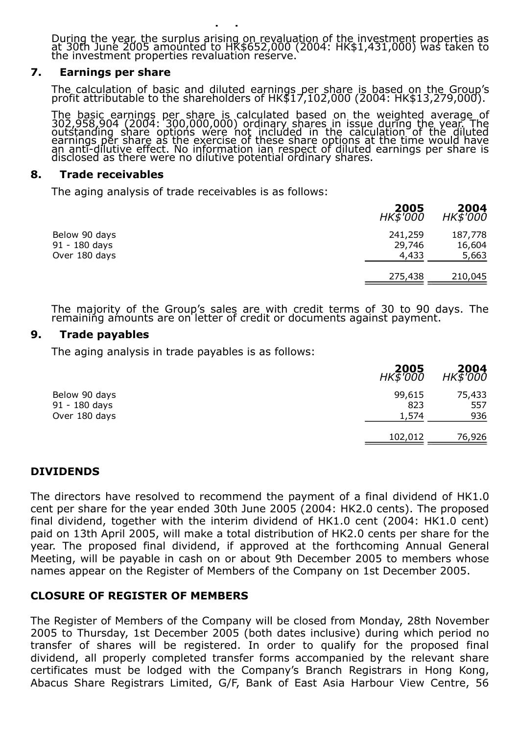During the year, the surplus arising on revaluation of the investment properties as at 30th June 2005 amounted to HK\$652,000 (2004: HK\$1,431,000) was taken to the investment properties revaluation reserve.

### 7. Earnings per share

The calculation of basic and diluted earnings per share is based on the Group's profit attributable to the shareholders of HK\$17,102,000 (2004: HK\$13,279,000).

The basic earnings per share is calculated based on the weighted average of 302,958,904 (2004: 300,000,000) ordinary shares in issue during the year. The outstanding share options were not included in the calculation of the diluted earnings per share as the exercise of these share options at the time would have an anti-dilutive effect. No information ian respect of diluted earnings per share is disclosed as there were no dilutive potential ordinary shares.

#### 8. Trade receivables

The aging analysis of trade receivables is as follows:

6. Movements in investment properties revaluation reserve

|                                                 | 2005<br>HK\$'000           | 2004<br>$HK\bar{5}$ $000$  |
|-------------------------------------------------|----------------------------|----------------------------|
| Below 90 days<br>91 - 180 days<br>Over 180 days | 241,259<br>29,746<br>4,433 | 187,778<br>16,604<br>5,663 |
|                                                 | 275,438                    | 210,045                    |

The majority of the Group's sales are with credit terms of 30 to 90 days. The remaining amounts are on letter of credit or documents against payment.

### 9. Trade payables

The aging analysis in trade payables is as follows:

|                                                 | 2005<br><b>HK\$'000</b> | 2004<br>$HK\overline{5}$ $\overline{000}$ |
|-------------------------------------------------|-------------------------|-------------------------------------------|
| Below 90 days<br>91 - 180 days<br>Over 180 days | 99,615<br>823<br>1,574  | 75,433<br>557<br>936                      |
|                                                 | 102,012                 | 76,926                                    |

## DIVIDENDS

The directors have resolved to recommend the payment of a final dividend of HK1.0 cent per share for the year ended 30th June 2005 (2004: HK2.0 cents). The proposed final dividend, together with the interim dividend of HK1.0 cent (2004: HK1.0 cent) paid on 13th April 2005, will make a total distribution of HK2.0 cents per share for the year. The proposed final dividend, if approved at the forthcoming Annual General Meeting, will be payable in cash on or about 9th December 2005 to members whose names appear on the Register of Members of the Company on 1st December 2005.

### CLOSURE OF REGISTER OF MEMBERS

The Register of Members of the Company will be closed from Monday, 28th November 2005 to Thursday, 1st December 2005 (both dates inclusive) during which period no transfer of shares will be registered. In order to qualify for the proposed final dividend, all properly completed transfer forms accompanied by the relevant share certificates must be lodged with the Company's Branch Registrars in Hong Kong, Abacus Share Registrars Limited, G/F, Bank of East Asia Harbour View Centre, 56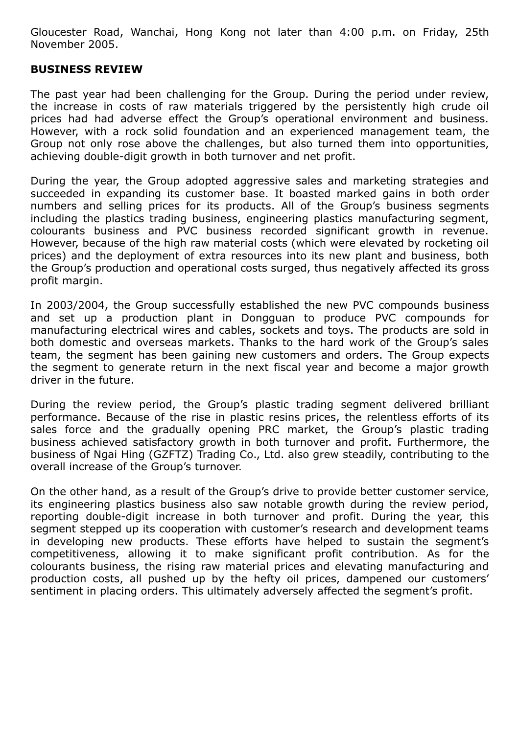Gloucester Road, Wanchai, Hong Kong not later than 4:00 p.m. on Friday, 25th November 2005.

### BUSINESS REVIEW

The past year had been challenging for the Group. During the period under review, the increase in costs of raw materials triggered by the persistently high crude oil prices had had adverse effect the Group's operational environment and business. However, with a rock solid foundation and an experienced management team, the Group not only rose above the challenges, but also turned them into opportunities, achieving double-digit growth in both turnover and net profit.

During the year, the Group adopted aggressive sales and marketing strategies and succeeded in expanding its customer base. It boasted marked gains in both order numbers and selling prices for its products. All of the Group's business segments including the plastics trading business, engineering plastics manufacturing segment, colourants business and PVC business recorded significant growth in revenue. However, because of the high raw material costs (which were elevated by rocketing oil prices) and the deployment of extra resources into its new plant and business, both the Group's production and operational costs surged, thus negatively affected its gross profit margin.

In 2003/2004, the Group successfully established the new PVC compounds business and set up a production plant in Dongguan to produce PVC compounds for manufacturing electrical wires and cables, sockets and toys. The products are sold in both domestic and overseas markets. Thanks to the hard work of the Group's sales team, the segment has been gaining new customers and orders. The Group expects the segment to generate return in the next fiscal year and become a major growth driver in the future.

During the review period, the Group's plastic trading segment delivered brilliant performance. Because of the rise in plastic resins prices, the relentless efforts of its sales force and the gradually opening PRC market, the Group's plastic trading business achieved satisfactory growth in both turnover and profit. Furthermore, the business of Ngai Hing (GZFTZ) Trading Co., Ltd. also grew steadily, contributing to the overall increase of the Group's turnover.

On the other hand, as a result of the Group's drive to provide better customer service, its engineering plastics business also saw notable growth during the review period, reporting double-digit increase in both turnover and profit. During the year, this segment stepped up its cooperation with customer's research and development teams in developing new products. These efforts have helped to sustain the segment's competitiveness, allowing it to make significant profit contribution. As for the colourants business, the rising raw material prices and elevating manufacturing and production costs, all pushed up by the hefty oil prices, dampened our customers' sentiment in placing orders. This ultimately adversely affected the segment's profit.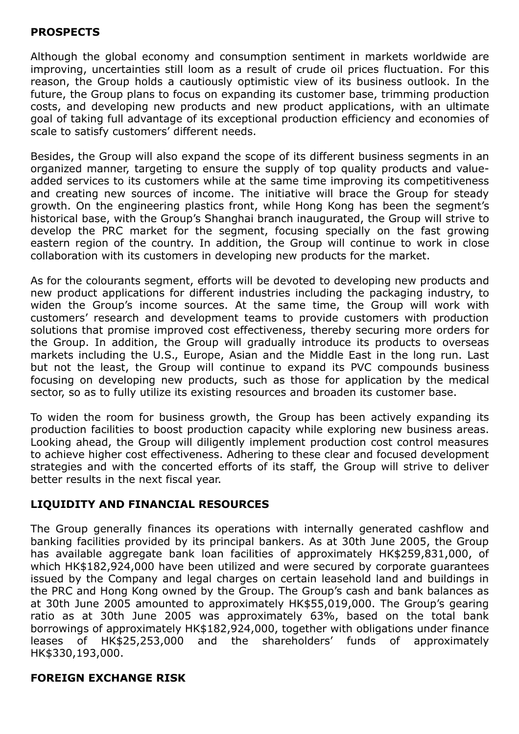# PROSPECTS

Although the global economy and consumption sentiment in markets worldwide are improving, uncertainties still loom as a result of crude oil prices fluctuation. For this reason, the Group holds a cautiously optimistic view of its business outlook. In the future, the Group plans to focus on expanding its customer base, trimming production costs, and developing new products and new product applications, with an ultimate goal of taking full advantage of its exceptional production efficiency and economies of scale to satisfy customers' different needs.

Besides, the Group will also expand the scope of its different business segments in an organized manner, targeting to ensure the supply of top quality products and valueadded services to its customers while at the same time improving its competitiveness and creating new sources of income. The initiative will brace the Group for steady growth. On the engineering plastics front, while Hong Kong has been the segment's historical base, with the Group's Shanghai branch inaugurated, the Group will strive to develop the PRC market for the segment, focusing specially on the fast growing eastern region of the country. In addition, the Group will continue to work in close collaboration with its customers in developing new products for the market.

As for the colourants segment, efforts will be devoted to developing new products and new product applications for different industries including the packaging industry, to widen the Group's income sources. At the same time, the Group will work with customers' research and development teams to provide customers with production solutions that promise improved cost effectiveness, thereby securing more orders for the Group. In addition, the Group will gradually introduce its products to overseas markets including the U.S., Europe, Asian and the Middle East in the long run. Last but not the least, the Group will continue to expand its PVC compounds business focusing on developing new products, such as those for application by the medical sector, so as to fully utilize its existing resources and broaden its customer base.

To widen the room for business growth, the Group has been actively expanding its production facilities to boost production capacity while exploring new business areas. Looking ahead, the Group will diligently implement production cost control measures to achieve higher cost effectiveness. Adhering to these clear and focused development strategies and with the concerted efforts of its staff, the Group will strive to deliver better results in the next fiscal year.

## LIQUIDITY AND FINANCIAL RESOURCES

The Group generally finances its operations with internally generated cashflow and banking facilities provided by its principal bankers. As at 30th June 2005, the Group has available aggregate bank loan facilities of approximately HK\$259,831,000, of which HK\$182,924,000 have been utilized and were secured by corporate guarantees issued by the Company and legal charges on certain leasehold land and buildings in the PRC and Hong Kong owned by the Group. The Group's cash and bank balances as at 30th June 2005 amounted to approximately HK\$55,019,000. The Group's gearing ratio as at 30th June 2005 was approximately 63%, based on the total bank borrowings of approximately HK\$182,924,000, together with obligations under finance leases of HK\$25,253,000 and the shareholders' funds of approximately HK\$330,193,000.

## FOREIGN EXCHANGE RISK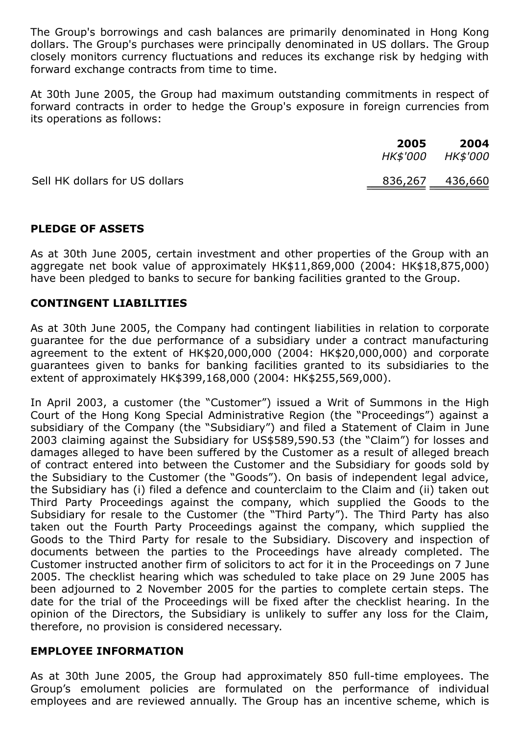The Group's borrowings and cash balances are primarily denominated in Hong Kong dollars. The Group's purchases were principally denominated in US dollars. The Group closely monitors currency fluctuations and reduces its exchange risk by hedging with forward exchange contracts from time to time.

At 30th June 2005, the Group had maximum outstanding commitments in respect of forward contracts in order to hedge the Group's exposure in foreign currencies from its operations as follows:

|                                | 2005<br><i>HK\$'000</i> | 2004<br><i>HK\$'000</i> |
|--------------------------------|-------------------------|-------------------------|
| Sell HK dollars for US dollars | <u>836,267 436,660</u>  |                         |

## PLEDGE OF ASSETS

As at 30th June 2005, certain investment and other properties of the Group with an aggregate net book value of approximately HK\$11,869,000 (2004: HK\$18,875,000) have been pledged to banks to secure for banking facilities granted to the Group.

## CONTINGENT LIABILITIES

As at 30th June 2005, the Company had contingent liabilities in relation to corporate guarantee for the due performance of a subsidiary under a contract manufacturing agreement to the extent of HK\$20,000,000 (2004: HK\$20,000,000) and corporate guarantees given to banks for banking facilities granted to its subsidiaries to the extent of approximately HK\$399,168,000 (2004: HK\$255,569,000).

In April 2003, a customer (the "Customer") issued a Writ of Summons in the High Court of the Hong Kong Special Administrative Region (the "Proceedings") against a subsidiary of the Company (the "Subsidiary") and filed a Statement of Claim in June 2003 claiming against the Subsidiary for US\$589,590.53 (the "Claim") for losses and damages alleged to have been suffered by the Customer as a result of alleged breach of contract entered into between the Customer and the Subsidiary for goods sold by the Subsidiary to the Customer (the "Goods"). On basis of independent legal advice, the Subsidiary has (i) filed a defence and counterclaim to the Claim and (ii) taken out Third Party Proceedings against the company, which supplied the Goods to the Subsidiary for resale to the Customer (the "Third Party"). The Third Party has also taken out the Fourth Party Proceedings against the company, which supplied the Goods to the Third Party for resale to the Subsidiary. Discovery and inspection of documents between the parties to the Proceedings have already completed. The Customer instructed another firm of solicitors to act for it in the Proceedings on 7 June 2005. The checklist hearing which was scheduled to take place on 29 June 2005 has been adjourned to 2 November 2005 for the parties to complete certain steps. The date for the trial of the Proceedings will be fixed after the checklist hearing. In the opinion of the Directors, the Subsidiary is unlikely to suffer any loss for the Claim, therefore, no provision is considered necessary.

## EMPLOYEE INFORMATION

As at 30th June 2005, the Group had approximately 850 full-time employees. The Group's emolument policies are formulated on the performance of individual employees and are reviewed annually. The Group has an incentive scheme, which is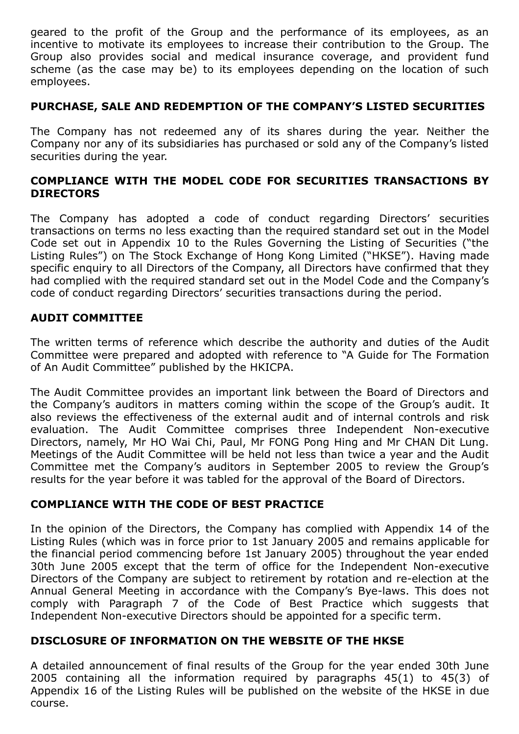geared to the profit of the Group and the performance of its employees, as an incentive to motivate its employees to increase their contribution to the Group. The Group also provides social and medical insurance coverage, and provident fund scheme (as the case may be) to its employees depending on the location of such employees.

# PURCHASE, SALE AND REDEMPTION OF THE COMPANY'S LISTED SECURITIES

The Company has not redeemed any of its shares during the year. Neither the Company nor any of its subsidiaries has purchased or sold any of the Company's listed securities during the year.

# COMPLIANCE WITH THE MODEL CODE FOR SECURITIES TRANSACTIONS BY **DIRECTORS**

The Company has adopted a code of conduct regarding Directors' securities transactions on terms no less exacting than the required standard set out in the Model Code set out in Appendix 10 to the Rules Governing the Listing of Securities ("the Listing Rules") on The Stock Exchange of Hong Kong Limited ("HKSE"). Having made specific enquiry to all Directors of the Company, all Directors have confirmed that they had complied with the required standard set out in the Model Code and the Company's code of conduct regarding Directors' securities transactions during the period.

## AUDIT COMMITTEE

The written terms of reference which describe the authority and duties of the Audit Committee were prepared and adopted with reference to "A Guide for The Formation of An Audit Committee" published by the HKICPA.

The Audit Committee provides an important link between the Board of Directors and the Company's auditors in matters coming within the scope of the Group's audit. It also reviews the effectiveness of the external audit and of internal controls and risk evaluation. The Audit Committee comprises three Independent Non-executive Directors, namely, Mr HO Wai Chi, Paul, Mr FONG Pong Hing and Mr CHAN Dit Lung. Meetings of the Audit Committee will be held not less than twice a year and the Audit Committee met the Company's auditors in September 2005 to review the Group's results for the year before it was tabled for the approval of the Board of Directors.

# COMPLIANCE WITH THE CODE OF BEST PRACTICE

In the opinion of the Directors, the Company has complied with Appendix 14 of the Listing Rules (which was in force prior to 1st January 2005 and remains applicable for the financial period commencing before 1st January 2005) throughout the year ended 30th June 2005 except that the term of office for the Independent Non-executive Directors of the Company are subject to retirement by rotation and re-election at the Annual General Meeting in accordance with the Company's Bye-laws. This does not comply with Paragraph 7 of the Code of Best Practice which suggests that Independent Non-executive Directors should be appointed for a specific term.

## DISCLOSURE OF INFORMATION ON THE WEBSITE OF THE HKSE

A detailed announcement of final results of the Group for the year ended 30th June 2005 containing all the information required by paragraphs 45(1) to 45(3) of Appendix 16 of the Listing Rules will be published on the website of the HKSE in due course.